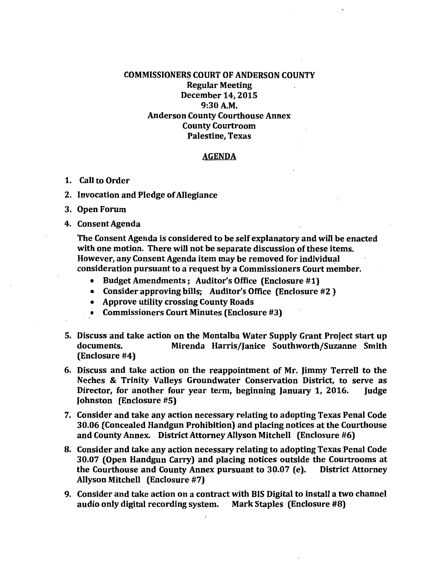## COMMISSIONERS COURT OF ANDERSON COUNTY Regular Meeting December 14, 2015 9:30A.M. Anderson County Courthouse Annex County Courtroom Palestine, Texas

## AGENDA

- 1. Call to Order
- 2. Invocation and Pledge of Allegiance
- 3. Open Forum
- 4. Consent Agenda

The Consent Agenda is considered to be self explanatory and will be enacted with one motion. There will not be separate discussion of these items. However, any Consent Agenda item may be removed for individual consideration pursuant to a request by a Commissioners Court member.

- Budget Amendments; Auditor's Office (Enclosure #1)
- Consider approving bills; Auditor's Office (Enclosure #2 )
- Approve utility crossing County Roads
- Commissioners Court Minutes (Enclosure #3)
- 5. Discuss and. take action on the Montalba Water Supply Grant Project start up documents. Mirenda Harris/Janice Southworth/Suzanne Smith (Enclosure #4)
- 6. Discuss and take action on the reappointment of Mr. Iimmy Terrell to the Neches & Trinity Valleys Groundwater Conservation District, to serve as Director, for another four year term, beginning January 1, 2016. Judge Johnston (Enclosure #5)
- 7. Consider and take any action necessary relating to adopting Texas Penal Code 30.06 (Concealed Handgun Prohibition) and placing notices at the Courthouse and County Annex. District Attorney Allyson Mitchell (Enclosure #6)
- 8. Consider and take any action necessary relating to adopting Texas Penal Code 30.07 (Open Handgun Carry) and placing notices outside the Courtrooms at the Courthouse and County Annex pursuant to 30.07 (e). District Attorney Allyson Mitchell (Enclosure #7)
- 9. Consider and take action on a contract with BIS Digital to install a two channel audio only digital recording system.